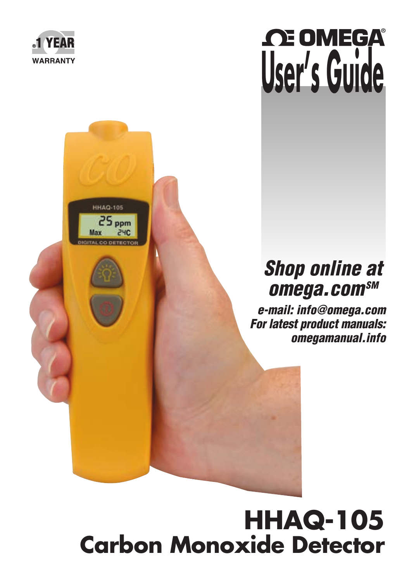

**HHAQ-105** 

# *CE OMEGA* **User's Guide**

## *Shop online at omega.comSM*

 *e-mail: info@omega.com For latest product manuals: omegamanual.info*

## **HHAQ-105 Carbon Monoxide Detector**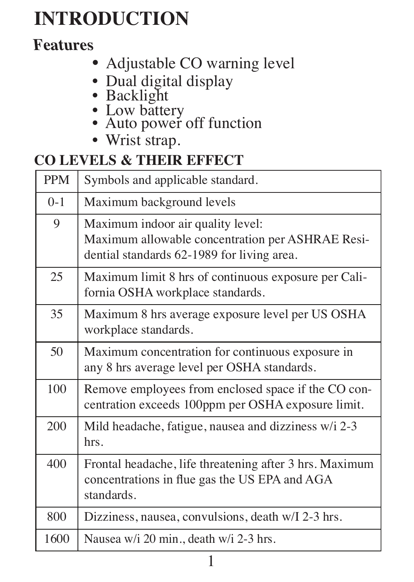## **INTRODUCTION**

## **Features**

- Adjustable CO warning level
- Dual digital display
- Backlight
	-
	- Low battery<br>• Auto power off function
	- Wrist strap.

### **CO LEVELS & THEIR EFFECT**

| <b>PPM</b> | Symbols and applicable standard.                                                                                                    |
|------------|-------------------------------------------------------------------------------------------------------------------------------------|
| $0-1$      | Maximum background levels                                                                                                           |
| 9          | Maximum indoor air quality level:<br>Maximum allowable concentration per ASHRAE Resi-<br>dential standards 62-1989 for living area. |
| 25         | Maximum limit 8 hrs of continuous exposure per Cali-<br>fornia OSHA workplace standards.                                            |
| 35         | Maximum 8 hrs average exposure level per US OSHA<br>workplace standards.                                                            |
| 50         | Maximum concentration for continuous exposure in<br>any 8 hrs average level per OSHA standards.                                     |
| 100        | Remove employees from enclosed space if the CO con-<br>centration exceeds 100ppm per OSHA exposure limit.                           |
| 200        | Mild headache, fatigue, nausea and dizziness w/i 2-3<br>hrs.                                                                        |
| 400        | Frontal headache, life threatening after 3 hrs. Maximum<br>concentrations in flue gas the US EPA and AGA<br>standards.              |
| 800        | Dizziness, nausea, convulsions, death w/I 2-3 hrs.                                                                                  |
| 1600       | Nausea w/i 20 min., death w/i 2-3 hrs.                                                                                              |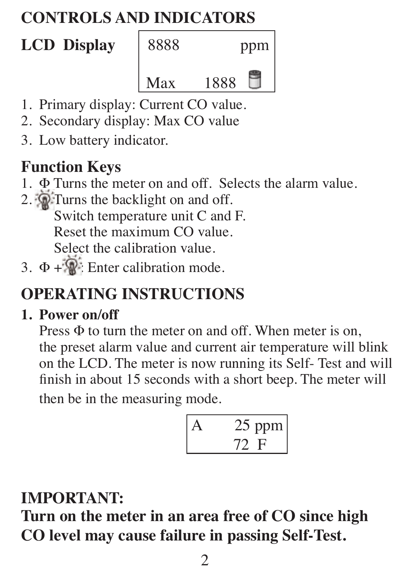## **CONTROLS AND INDICATORS**

# **LCD Display** 8888 ppm 1888

- 1. Primary display: Current CO value.
- 2. Secondary display: Max CO value
- 3. Low battery indicator.

## **Function Keys**

- 1. Ф Turns the meter on and off. Selects the alarm value.
- 2. Turns the backlight on and off. Switch temperature unit C and F. Reset the maximum CO value. Select the calibration value.
- 3.  $\Phi + \mathbb{R}$ : Enter calibration mode.

## **OPERATING INSTRUCTIONS**

### **1. Power on/off**

Press  $\Phi$  to turn the meter on and off. When meter is on, the preset alarm value and current air temperature will blink on the LCD. The meter is now running its Self- Test and will finish in about 15 seconds with a short beep. The meter will then be in the measuring mode.

 A 25 ppm 72 F

## **IMPORTANT:**

**Turn on the meter in an area free of CO since high CO level may cause failure in passing Self-Test.**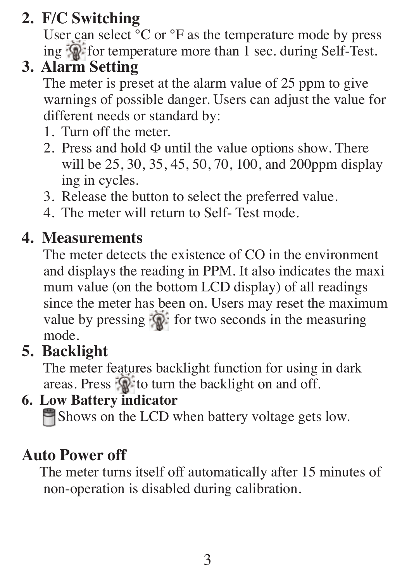## **2. F/C Switching**

User can select  ${}^{\circ}C$  or  ${}^{\circ}F$  as the temperature mode by press ing for temperature more than 1 sec. during Self-Test.

## **3. Alarm Setting**

 The meter is preset at the alarm value of 25 ppm to give warnings of possible danger. Users can adjust the value for different needs or standard by:

- 1. Turn off the meter.
- 2. Press and hold  $\Phi$  until the value options show. There will be 25, 30, 35, 45, 50, 70, 100, and 200ppm display ing in cycles.
- 3. Release the button to select the preferred value.
- 4. The meter will return to Self- Test mode.

## **4. Measurements**

 The meter detects the existence of CO in the environment and displays the reading in PPM. It also indicates the maxi mum value (on the bottom LCD display) of all readings since the meter has been on. Users may reset the maximum value by pressing  $\mathbb{Q}$  for two seconds in the measuring mode.

## **5. Backlight**

 The meter features backlight function for using in dark areas. Press  $\mathbb{Q}^*$  to turn the backlight on and off.

### **6. Low Battery indicator**

Shows on the LCD when battery voltage gets low.

## **Auto Power off**

 The meter turns itself off automatically after 15 minutes of non-operation is disabled during calibration.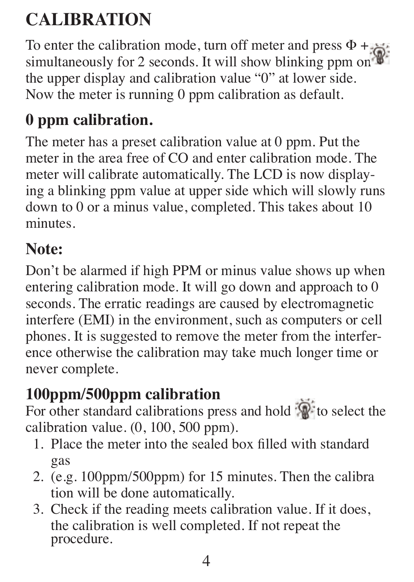## **CALIBRATION**

To enter the calibration mode, turn off meter and press  $\Phi + \frac{1}{2}$ simultaneously for 2 seconds. It will show blinking ppm on the upper display and calibration value "0" at lower side. Now the meter is running 0 ppm calibration as default.

## **0 ppm calibration.**

The meter has a preset calibration value at 0 ppm. Put the meter in the area free of CO and enter calibration mode. The meter will calibrate automatically. The LCD is now displaying a blinking ppm value at upper side which will slowly runs down to 0 or a minus value, completed. This takes about 10 minutes.

## **Note:**

Don't be alarmed if high PPM or minus value shows up when entering calibration mode. It will go down and approach to 0 seconds. The erratic readings are caused by electromagnetic interfere (EMI) in the environment, such as computers or cell phones. It is suggested to remove the meter from the interference otherwise the calibration may take much longer time or never complete.

## **100ppm/500ppm calibration**

For other standard calibrations press and hold  $\mathbb{R}^n$  to select the calibration value. (0, 100, 500 ppm).

- 1. Place the meter into the sealed box filled with standard gas
- 2. (e.g. 100ppm/500ppm) for 15 minutes. Then the calibra tion will be done automatically.
- 3. Check if the reading meets calibration value. If it does, the calibration is well completed. If not repeat the procedure.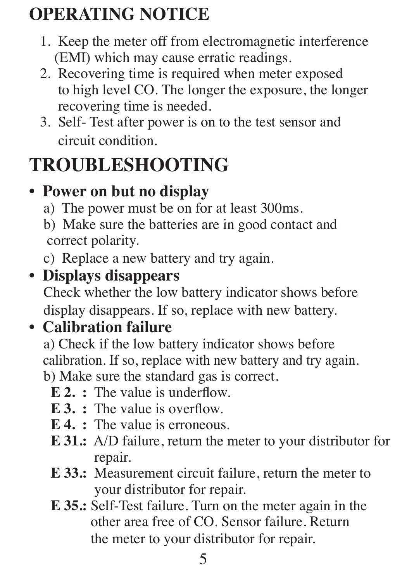## **OPERATING NOTICE**

- 1. Keep the meter off from electromagnetic interference (EMI) which may cause erratic readings.
- 2. Recovering time is required when meter exposed to high level CO. The longer the exposure, the longer recovering time is needed.
- 3. Self- Test after power is on to the test sensor and circuit condition.

## **TROUBLESHOOTING**

## • **Power on but no display**

- a) The power must be on for at least 300ms.
- b) Make sure the batteries are in good contact and correct polarity.
- c) Replace a new battery and try again.

## • **Displays disappears**

 Check whether the low battery indicator shows before display disappears. If so, replace with new battery.

## • **Calibration failure**

 a) Check if the low battery indicator shows before calibration. If so, replace with new battery and try again. b) Make sure the standard gas is correct.

- **E 2. :** The value is underflow.
- **E 3. :** The value is overflow.
- **E 4. :** The value is erroneous.
- **E 31.:** A/D failure, return the meter to your distributor for repair.
- **E 33.:** Measurement circuit failure, return the meter to your distributor for repair.
- **E 35.:** Self-Test failure. Turn on the meter again in the other area free of CO. Sensor failure. Return the meter to your distributor for repair.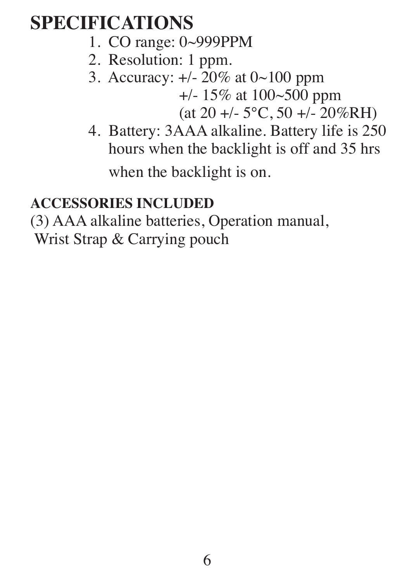## **SPECIFICATIONS**

- 1. CO range: 0~999PPM
- 2. Resolution: 1 ppm.
- 3. Accuracy: +/- 20% at 0~100 ppm

+/- 15% at 100~500 ppm

 $(at 20 +/- 5°C, 50 +/- 20%RH)$ 

 4. Battery: 3AAA alkaline. Battery life is 250 hours when the backlight is off and 35 hrs

when the backlight is on.

### **ACCESSORIES INCLUDED**

(3) AAA alkaline batteries, Operation manual,

Wrist Strap & Carrying pouch